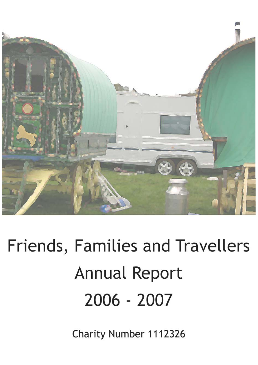

# Friends, Families and Travellers **Annual Report** 2006 - 2007

Charity Number 1112326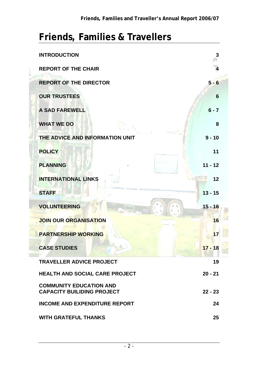# **Friends, Families & Travellers**

| <b>INTRODUCTION</b>                                                 | 3         |
|---------------------------------------------------------------------|-----------|
| <b>REPORT OF THE CHAIR</b>                                          | 4         |
| <b>REPORT OF THE DIRECTOR</b>                                       | $5 - 6$   |
| <b>OUR TRUSTEES</b>                                                 | 6         |
| <b>A SAD FAREWELL</b>                                               | $6 - 7$   |
| <b>WHAT WE DO</b>                                                   | 8         |
| THE ADVICE AND INFORMATION UNIT                                     | $9 - 10$  |
| <b>POLICY</b>                                                       | 11        |
| <b>PLANNING</b><br>U.                                               | $11 - 12$ |
| <b>INTERNATIONAL LINKS</b>                                          | 12        |
| <b>STAFF</b>                                                        | $13 - 15$ |
| <b>VOLUNTEERING</b>                                                 | $15 - 16$ |
| <b>JOIN OUR ORGANISATION</b>                                        | 16        |
| <b>PARTNERSHIP WORKING</b>                                          | 17        |
| <b>CASE STUDIES</b>                                                 | $17 - 18$ |
| <b>TRAVELLER ADVICE PROJECT</b>                                     | 19        |
| <b>HEALTH AND SOCIAL CARE PROJECT</b>                               | $20 - 21$ |
| <b>COMMUNITY EDUCATION AND</b><br><b>CAPACITY BUILIDING PROJECT</b> | $22 - 23$ |
| <b>INCOME AND EXPENDITURE REPORT</b>                                | 24        |
| <b>WITH GRATEFUL THANKS</b>                                         | 25        |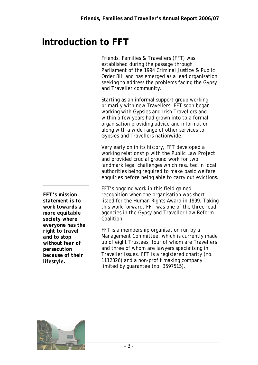# **Introduction to FFT**

Friends, Families & Travellers (FFT) was established during the passage through Parliament of the 1994 Criminal Justice & Public Order Bill and has emerged as a lead organisation seeking to address the problems facing the Gypsy and Traveller community.

Starting as an informal support group working primarily with new Travellers, FFT soon began working with Gypsies and Irish Travellers and within a few years had grown into to a formal organisation providing advice and information along with a wide range of other services to Gypsies and Travellers nationwide.

Very early on in its history, FFT developed a working relationship with the Public Law Project and provided crucial ground work for two landmark legal challenges which resulted in local authorities being required to make basic welfare enquiries before being able to carry out evictions.

FFT's ongoing work in this field gained recognition when the organisation was shortlisted for the Human Rights Award in 1999. Taking this work forward, FFT was one of the three lead agencies in the Gypsy and Traveller Law Reform Coalition.

FFT is a membership organisation run by a Management Committee, which is currently made up of eight Trustees, four of whom are Travellers and three of whom are lawyers specialising in Traveller issues. FFT is a registered charity (no. 1112326) and a non-profit making company limited by guarantee (no. 3597515).



*FFT's mission statement is to work towards a more equitable society where everyone has the right to travel and to stop without fear of persecution because of their lifestyle.*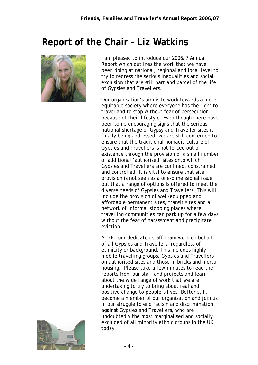# **Report of the Chair – Liz Watkins**



I am pleased to introduce our 2006/7 Annual Report which outlines the work that we have been doing at national, regional and local level to try to redress the serious inequalities and social exclusion that are still part and parcel of the life of Gypsies and Travellers.

Our organisation's aim is to work towards a more equitable society where everyone has the right to travel and to stop without fear of persecution because of their lifestyle. Even though there have been some encouraging signs that the serious national shortage of Gypsy and Traveller sites is finally being addressed, we are still concerned to ensure that the traditional nomadic culture of Gypsies and Travellers is not forced out of existence through the provision of a small number of additional 'authorised' sites onto which Gypsies and Travellers are confined, constrained and controlled. It is vital to ensure that site provision is not seen as a one-dimensional issue but that a range of options is offered to meet the diverse needs of Gypsies and Travellers. This will include the provision of well-equipped and affordable permanent sites, transit sites and a network of informal stopping places where travelling communities can park up for a few days without the fear of harassment and precipitate eviction.

At FFT our dedicated staff team work on behalf of all Gypsies and Travellers, regardless of ethnicity or background. This includes highly mobile travelling groups, Gypsies and Travellers on authorised sites and those in bricks and mortar housing. Please take a few minutes to read the reports from our staff and projects and learn about the wide range of work that we are undertaking to try to bring about real and positive change to people's lives. Better still, become a member of our organisation and join us in our struggle to end racism and discrimination against Gypsies and Travellers, who are undoubtedly the most marginalised and socially excluded of all minority ethnic groups in the UK today.

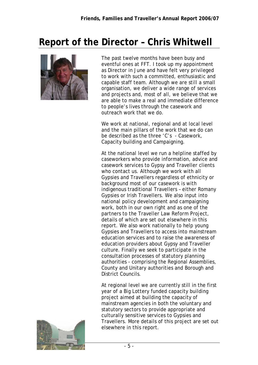# **Report of the Director – Chris Whitwell**



The past twelve months have been busy and eventful ones at FFT. I took up my appointment as Director in June and have felt very privileged to work with such a committed, enthusiastic and capable staff team. Although we are still a small organisation, we deliver a wide range of services and projects and, most of all, we believe that we are able to make a real and immediate difference to people's lives through the casework and outreach work that we do.

We work at national, regional and at local level and the main pillars of the work that we do can be described as the three 'C's - Casework, Capacity building and Campaigning.

At the national level we run a helpline staffed by caseworkers who provide information, advice and casework services to Gypsy and Traveller clients who contact us. Although we work with all Gypsies and Travellers regardless of ethnicity or background most of our casework is with indigenous traditional Travellers – either Romany Gypsies or Irish Travellers. We also input into national policy development and campaigning work, both in our own right and as one of the partners to the Traveller Law Reform Project, details of which are set out elsewhere in this report. We also work nationally to help young Gypsies and Travellers to access into mainstream education services and to raise the awareness of education providers about Gypsy and Traveller culture. Finally we seek to participate in the consultation processes of statutory planning authorities - comprising the Regional Assemblies, County and Unitary authorities and Borough and District Councils.

At regional level we are currently still in the first year of a Big Lottery funded capacity building project aimed at building the capacity of mainstream agencies in both the voluntary and statutory sectors to provide appropriate and culturally sensitive services to Gypsies and Travellers. More details of this project are set out elsewhere in this report.

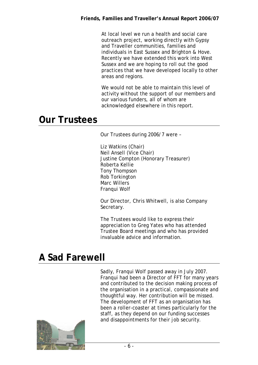At local level we run a health and social care outreach project, working directly with Gypsy and Traveller communities, families and individuals in East Sussex and Brighton & Hove. Recently we have extended this work into West Sussex and we are hoping to roll out the good practices that we have developed locally to other areas and regions.

We would not be able to maintain this level of activity without the support of our members and our various funders, all of whom are acknowledged elsewhere in this report.

#### **Our Trustees**

Our Trustees during 2006/7 were –

Liz Watkins (Chair) Neil Ansell (Vice Chair) Justine Compton (Honorary Treasurer) Roberta Kellie Tony Thompson Rob Torkington Marc Willers Franqui Wolf

Our Director, Chris Whitwell, is also Company Secretary.

The Trustees would like to express their appreciation to Greg Yates who has attended Trustee Board meetings and who has provided invaluable advice and information.

# **A Sad Farewell**

Sadly, Franqui Wolf passed away in July 2007. Franqui had been a Director of FFT for many years and contributed to the decision making process of the organisation in a practical, compassionate and thoughtful way. Her contribution will be missed. The development of FFT as an organisation has been a roller-coaster at times particularly for the staff, as they depend on our funding successes and disappointments for their job security.

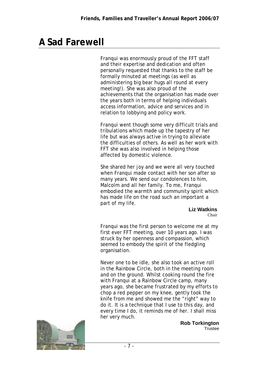### **A Sad Farewell**

Franqui was enormously proud of the FFT staff and their expertise and dedication and often personally requested that thanks to the staff be formally minuted at meetings (as well as administering big bear hugs all round at every meeting!). She was also proud of the achievements that the organisation has made over the years both in terms of helping individuals access information, advice and services and in relation to lobbying and policy work.

Franqui went though some very difficult trials and tribulations which made up the tapestry of her life but was always active in trying to alleviate the difficulties of others. As well as her work with FFT she was also involved in helping those affected by domestic violence.

She shared her joy and we were all very touched when Franqui made contact with her son after so many years. We send our condolences to him, Malcolm and all her family. To me, Franqui embodied the warmth and community spirit which has made life on the road such an important a part of my life.

**Liz Watkins** 

Chair

Franqui was the first person to welcome me at my first ever FFT meeting, over 10 years ago. I was struck by her openness and compassion, which seemed to embody the spirit of the fledgling organisation.

Never one to be idle, she also took an active roll in the Rainbow Circle, both in the meeting room and on the ground. Whilst cooking round the fire with Franqui at a Rainbow Circle camp, many years ago, she became frustrated by my efforts to chop a red pepper on my knee, gently took the knife from me and showed me the "right" way to do it. It is a technique that I use to this day, and every time I do, it reminds me of her. I shall miss her very much.



**Rob Torkington Trustee**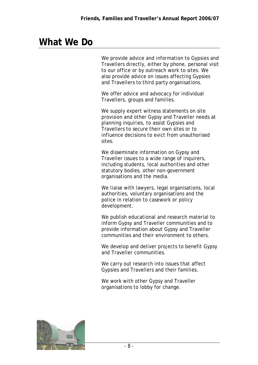#### **What We Do**

We provide advice and information to Gypsies and Travellers directly, either by phone, personal visit to our office or by outreach work to sites. We also provide advice on issues affecting Gypsies and Travellers to third party organisations.

We offer advice and advocacy for individual Travellers, groups and families.

We supply expert witness statements on site provision and other Gypsy and Traveller needs at planning inquiries, to assist Gypsies and Travellers to secure their own sites or to influence decisions to evict from unauthorised sites.

We disseminate information on Gypsy and Traveller issues to a wide range of inquirers, including students, local authorities and other statutory bodies, other non-government organisations and the media.

We liaise with lawyers, legal organisations, local authorities, voluntary organisations and the police in relation to casework or policy development.

We publish educational and research material to inform Gypsy and Traveller communities and to provide information about Gypsy and Traveller communities and their environment to others.

We develop and deliver projects to benefit Gypsy and Traveller communities.

We carry out research into issues that affect Gypsies and Travellers and their families.

We work with other Gypsy and Traveller organisations to lobby for change.

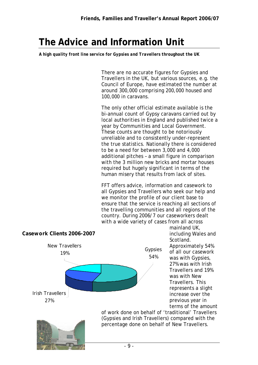### **The Advice and Information Unit**

*A high quality front line service for Gypsies and Travellers throughout the UK* 

There are no accurate figures for Gypsies and Travellers in the UK, but various sources, e.g. the Council of Europe, have estimated the number at around 300,000 comprising 200,000 housed and 100,000 in caravans.

The only other official estimate available is the bi-annual count of Gypsy caravans carried out by local authorities in England and published twice a year by Communities and Local Government. These counts are thought to be notoriously unreliable and to consistently under-represent the true statistics. Nationally there is considered to be a need for between 3,000 and 4,000 additional pitches – a small figure in comparison with the 3 million new bricks and mortar houses required but hugely significant in terms of the human misery that results from lack of sites.

FFT offers advice, information and casework to all Gypsies and Travellers who seek our help and we monitor the profile of our client base to ensure that the service is reaching all sections of the travelling communities and all regions of the country. During 2006/7 our caseworkers dealt with a wide variety of cases from all across



mainland UK, including Wales and Scotland. Approximately 54% of all our casework was with Gypsies, 27% was with Irish Travellers and 19% was with New Travellers. This represents a slight increase over the previous year in terms of the amount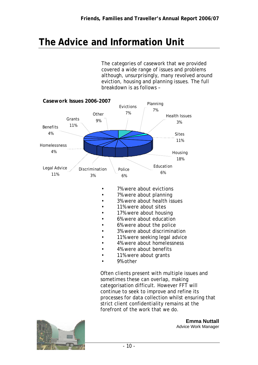### **The Advice and Information Unit**

The categories of casework that we provided covered a wide range of issues and problems although, unsurprisingly, many revolved around eviction, housing and planning issues. The full breakdown is as follows –



- 7% were about evictions
	- 7% were about planning
	- 3% were about health issues
- 11% were about sites
- 17% were about housing
- 6% were about education
- 6% were about the police
- 3% were about discrimination
- 11% were seeking legal advice
- 4% were about homelessness
- 4% were about benefits
- 11% were about grants
- 9% other

Often clients present with multiple issues and sometimes these can overlap, making categorisation difficult. However FFT will continue to seek to improve and refine its processes for data collection whilst ensuring that strict client confidentiality remains at the forefront of the work that we do.



**Emma Nuttall** Advice Work Manager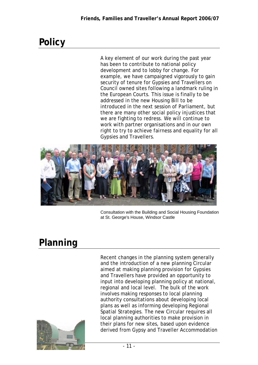# **Policy**

A key element of our work during the past year has been to contribute to national policy development and to lobby for change. For example, we have campaigned vigorously to gain security of tenure for Gypsies and Travellers on Council owned sites following a landmark ruling in the European Courts. This issue is finally to be addressed in the new Housing Bill to be introduced in the next session of Parliament, but there are many other social policy injustices that we are fighting to redress. We will continue to work with partner organisations and in our own right to try to achieve fairness and equality for all Gypsies and Travellers.



Consultation with the Building and Social Housing Foundation at St. George's House, Windsor Castle

# **Planning**

Recent changes in the planning system generally and the introduction of a new planning Circular aimed at making planning provision for Gypsies and Travellers have provided an opportunity to input into developing planning policy at national, regional and local level. The bulk of the work involves making responses to local planning authority consultations about developing local plans as well as informing developing Regional Spatial Strategies. The new Circular requires all local planning authorities to make provision in their plans for new sites, based upon evidence derived from Gypsy and Traveller Accommodation

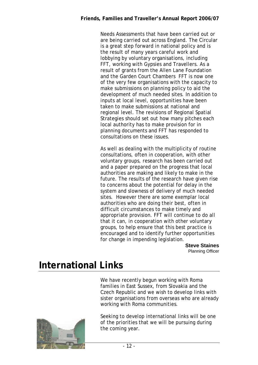Needs Assessments that have been carried out or are being carried out across England. The Circular is a great step forward in national policy and is the result of many years careful work and lobbying by voluntary organisations, including FFT, working with Gypsies and Travellers. As a result of grants from the Allen Lane Foundation and the Garden Court Chambers FFT is now one of the very few organisations with the capacity to make submissions on planning policy to aid the development of much needed sites. In addition to inputs at local level, opportunities have been taken to make submissions at national and regional level. The revisions of Regional Spatial Strategies should set out how many pitches each local authority has to make provision for in planning documents and FFT has responded to consultations on these issues.

As well as dealing with the multiplicity of routine consultations, often in cooperation, with other voluntary groups, research has been carried out and a paper prepared on the progress that local authorities are making and likely to make in the future. The results of the research have given rise to concerns about the potential for delay in the system and slowness of delivery of much needed sites. However there are some exemplar local authorities who are doing their best, often in difficult circumstances to make timely and appropriate provision. FFT will continue to do all that it can, in cooperation with other voluntary groups, to help ensure that this best practice is encouraged and to identify further opportunities for change in impending legislation.

> **Steve Staines**  Planning Officer

# **International Links**

We have recently begun working with Roma families in East Sussex, from Slovakia and the Czech Republic and we wish to develop links with sister organisations from overseas who are already working with Roma communities.



Seeking to develop international links will be one of the priorities that we will be pursuing during the coming year.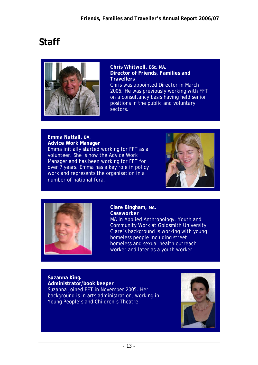# **Staff**



**Chris Whitwell, BSc, MA. Director of Friends, Families and Travellers**  Chris was appointed Director in March 2006. He was previously working with FFT on a consultancy basis having held senior positions in the public and voluntary sectors.

**Emma Nuttall, BA. Advice Work Manager**  Emma initially started working for FFT as a volunteer. She is now the Advice Work Manager and has been working for FFT for over 7 years. Emma has a key role in policy work and represents the organisation in a number of national fora.





**Clare Bingham, MA. Caseworker** 

MA in Applied Anthropology, Youth and Community Work at Goldsmith University. Clare's background is working with young homeless people including street homeless and sexual health outreach worker and later as a youth worker.

**Suzanna King. Administrator/book keeper**  Suzanna joined FFT in November 2005. Her background is in arts administration, working in Young People's and Children's Theatre.

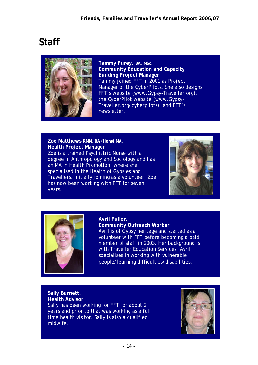# **Staff**



**Tammy Furey, BA, MSc. Community Education and Capacity Building Project Manager** Tammy joined FFT in 2001 as Project Manager of the CyberPilots. She also designs FFT's website (www.Gypsy-Traveller.org), the CyberPilot website (www.Gypsy-Traveller.org/cyberpilots), and FFT's newsletter.

**Zoe Matthews RMN, BA (Hons) MA. Health Project Manager** Zoe is a trained Psychiatric Nurse with a degree in Anthropology and Sociology and has an MA in Health Promotion, where she specialised in the Health of Gypsies and Travellers. Initially joining as a volunteer, Zoe has now been working with FFT for seven years.





#### **Avril Fuller.**

**Community Outreach Worker**  Avril is of Gypsy heritage and started as a volunteer with FFT before becoming a paid member of staff in 2003. Her background is with Traveller Education Services. Avril specialises in working with vulnerable people/learning difficulties/disabilities.

#### **Sally Burnett. Health Advisor**

Sally has been working for FFT for about 2 years and prior to that was working as a full time health visitor. Sally is also a qualified midwife.

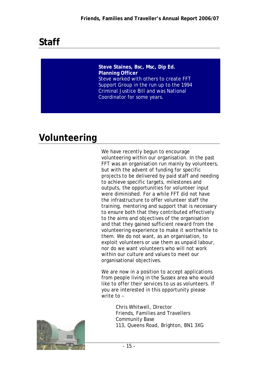# **Staff**

**Steve Staines, Bsc, Msc, Dip Ed. Planning Officer**  Steve worked with others to create FFT Support Group in the run up to the 1994 Criminal Justice Bill and was National Coordinator for some years.

# **Volunteering**

We have recently begun to encourage volunteering within our organisation. In the past FFT was an organisation run mainly by volunteers, but with the advent of funding for specific projects to be delivered by paid staff and needing to achieve specific targets, milestones and outputs, the opportunities for volunteer input were diminished. For a while FFT did not have the infrastructure to offer volunteer staff the training, mentoring and support that is necessary to ensure both that they contributed effectively to the aims and objectives of the organisation and that they gained sufficient reward from the volunteering experience to make it worthwhile to them. We do not want, as an organisation, to exploit volunteers or use them as unpaid labour, nor do we want volunteers who will not work within our culture and values to meet our organisational objectives.

We are now in a position to accept applications from people living in the Sussex area who would like to offer their services to us as volunteers. If you are interested in this opportunity please write to –

> Chris Whitwell, Director Friends, Families and Travellers Community Base 113, Queens Road, Brighton, BN1 3XG

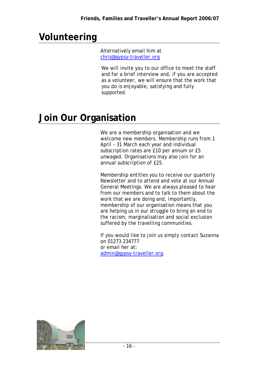# **Volunteering**

Alternatively email him at chris@gypsy-traveller.org

We will invite you to our office to meet the staff and for a brief interview and, if you are accepted as a volunteer, we will ensure that the work that you do is enjoyable, satisfying and fully supported.

# **Join Our Organisation**

We are a membership organisation and we welcome new members. Membership runs from 1 April – 31 March each year and individual subscription rates are £10 per annum or £5 unwaged. Organisations may also join for an annual subscription of £25.

Membership entitles you to receive our quarterly Newsletter and to attend and vote at our Annual General Meetings. We are always pleased to hear from our members and to talk to them about the work that we are doing and, importantly, membership of our organisation means that you are helping us in our struggle to bring an end to the racism, marginalisation and social exclusion suffered by the travelling communities.

If you would like to join us simply contact Suzanna on 01273 234777 or email her at: admin@gypsy-traveller.org.

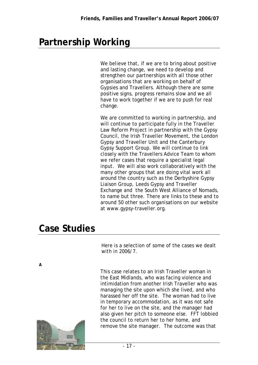# **Partnership Working**

We believe that, if we are to bring about positive and lasting change, we need to develop and strengthen our partnerships with all those other organisations that are working on behalf of Gypsies and Travellers. Although there are some positive signs, progress remains slow and we all have to work together if we are to push for real change.

We are committed to working in partnership, and will continue to participate fully in the Traveller Law Reform Project in partnership with the Gypsy Council, the Irish Traveller Movement, the London Gypsy and Traveller Unit and the Canterbury Gypsy Support Group. We will continue to link closely with the Travellers Advice Team to whom we refer cases that require a specialist legal input. We will also work collaboratively with the many other groups that are doing vital work all around the country such as the Derbyshire Gypsy Liaison Group, Leeds Gypsy and Traveller Exchange and the South West Alliance of Nomads, to name but three. There are links to these and to around 50 other such organisations on our website at www.gypsy-traveller.org.

#### **Case Studies**

Here is a selection of some of the cases we dealt with in 2006/7.

*A* 



This case relates to an Irish Traveller woman in the East Midlands, who was facing violence and intimidation from another Irish Traveller who was managing the site upon which she lived, and who harassed her off the site. The woman had to live in temporary accommodation, as it was not safe for her to live on the site, and the manager had also given her pitch to someone else. FFT lobbied the council to return her to her home, and remove the site manager. The outcome was that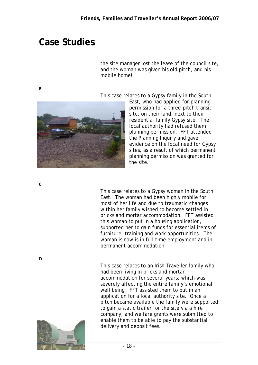### **Case Studies**

the site manager lost the lease of the council site, and the woman was given his old pitch, and his mobile home!

*B* 

This case relates to a Gypsy family in the South



East, who had applied for planning permission for a three-pitch transit site, on their land, next to their residential family Gypsy site. The local authority had refused them planning permission. FFT attended the Planning Inquiry and gave evidence on the local need for Gypsy sites, as a result of which permanent planning permission was granted for the site.

*C* 

*D* 

This case relates to a Gypsy woman in the South East. The woman had been highly mobile for most of her life and due to traumatic changes within her family wished to become settled in bricks and mortar accommodation. FFT assisted this woman to put in a housing application, supported her to gain funds for essential items of furniture, training and work opportunities. The woman is now is in full time employment and in permanent accommodation.

This case relates to an Irish Traveller family who had been living in bricks and mortar accommodation for several years, which was severely affecting the entire family's emotional well being. FFT assisted them to put in an application for a local authority site. Once a pitch became available the family were supported to gain a static trailer for the site via a hire company, and welfare grants were submitted to enable them to be able to pay the substantial delivery and deposit fees.

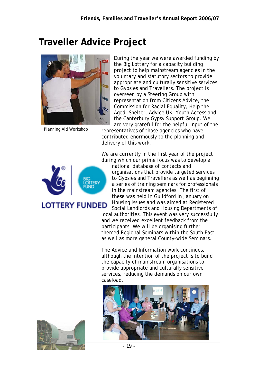# **Traveller Advice Project**



Planning Aid Workshop

During the year we were awarded funding by the Big Lottery for a capacity building project to help mainstream agencies in the voluntary and statutory sectors to provide appropriate and culturally sensitive services to Gypsies and Travellers. The project is overseen by a Steering Group with representation from Citizens Advice, the Commission for Racial Equality, Help the Aged, Shelter, Advice UK, Youth Access and the Canterbury Gypsy Support Group. We are very grateful for the helpful input of the

representatives of those agencies who have contributed enormously to the planning and delivery of this work.

We are currently in the first year of the project during which our prime focus was to develop a



**LOTTERY FUNDED** 

national database of contacts and organisations that provide targeted services to Gypsies and Travellers as well as beginning a series of training seminars for professionals in the mainstream agencies. The first of these was held in Guildford in January on Housing issues and was aimed at Registered Social Landlords and Housing Departments of

local authorities. This event was very successfully and we received excellent feedback from the participants. We will be organising further themed Regional Seminars within the South East as well as more general County-wide Seminars.

The Advice and Information work continues, although the intention of the project is to build the capacity of mainstream organisations to provide appropriate and culturally sensitive services, reducing the demands on our own caseload.



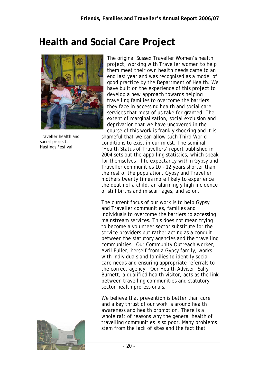# **Health and Social Care Project**



Traveller health and social project, Hastings Festival

The original Sussex Traveller Women's health project, working with Traveller women to help them meet their own health needs came to an end last year and was recognised as a model of good practice by the Department of Health. We have built on the experience of this project to develop a new approach towards helping travelling families to overcome the barriers they face in accessing health and social care services that most of us take for granted. The extent of marginalisation, social exclusion and deprivation that we have uncovered in the course of this work is frankly shocking and it is

shameful that we can allow such Third World conditions to exist in our midst. The seminal 'Health Status of Travellers' report published in 2004 sets out the appalling statistics, which speak for themselves – life expectancy within Gypsy and Traveller communities 10 – 12 years shorter than the rest of the population, Gypsy and Traveller mothers twenty times more likely to experience the death of a child, an alarmingly high incidence of still births and miscarriages, and so on.

The current focus of our work is to help Gypsy and Traveller communities, families and individuals to overcome the barriers to accessing mainstream services. This does not mean trying to become a volunteer sector substitute for the service providers but rather acting as a conduit between the statutory agencies and the travelling communities. Our Community Outreach worker, Avril Fuller, herself from a Gypsy family, works with individuals and families to identify social care needs and ensuring appropriate referrals to the correct agency. Our Health Adviser, Sally Burnett, a qualified health visitor, acts as the link between travelling communities and statutory sector health professionals.

We believe that prevention is better than cure and a key thrust of our work is around health awareness and health promotion. There is a whole raft of reasons why the general health of travelling communities is so poor. Many problems stem from the lack of sites and the fact that

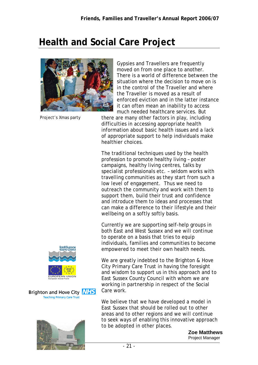#### **Health and Social Care Project**



Project's Xmas party

Gypsies and Travellers are frequently moved on from one place to another. There is a world of difference between the situation where the decision to move on is in the control of the Traveller and where the Traveller is moved as a result of enforced eviction and in the latter instance it can often mean an inability to access much needed healthcare services. But

there are many other factors in play, including difficulties in accessing appropriate health information about basic health issues and a lack of appropriate support to help individuals make healthier choices.

The traditional techniques used by the health profession to promote healthy living – poster campaigns, healthy living centres, talks by specialist professionals etc. – seldom works with travelling communities as they start from such a low level of engagement. Thus we need to outreach the community and work with them to support them, build their trust and confidence and introduce them to ideas and processes that can make a difference to their lifestyle and their wellbeing on a softly softly basis.

Currently we are supporting self-help groups in both East and West Sussex and we will continue to operate on a basis that tries to equip individuals, families and communities to become empowered to meet their own health needs.

We are greatly indebted to the Brighton & Hove City Primary Care Trust in having the foresight and wisdom to support us in this approach and to East Sussex County Council with whom we are working in partnership in respect of the Social Care work.

We believe that we have developed a model in East Sussex that should be rolled out to other areas and to other regions and we will continue to seek ways of enabling this innovative approach to be adopted in other places.

> **Zoe Matthews**  Project Manager



Brighton and Hove City **NHS Teaching Primary Care Trust** 

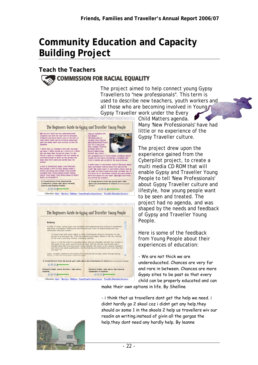#### **Community Education and Capacity Building Project**

#### **Teach the Teachers COMMISSION FOR RACIAL EQUALITY**

The project aimed to help connect young Gypsy Travellers to "new professionals". This term is used to describe new teachers, youth workers and all those who are becoming involved in Young. Gypsy Traveller work under the Every

The Beginners Gaide to Gypsy and Traveller Young People

We are not thick we are undereducated.<br>Chances are wery far and rare in between.<br>Chances are more Gyers sites to be past so<br>thances are more Gyers sites to be past so<br>that every child Can be property educated<br>and can make

i think that us traveners dont get the help<br>we need i didn't hardy go a skool coc i didne<br>get any help should av some 3 in the<br>goog a help us traveners wilv our readin an<br>uniting lincease of givin as the urinantian interi

**I AM A TRAVLER AND I AM PROOD** I AM A TRAVILER AND I AM PROUD<br>BECADEE I AM A FOLL TRISH AND I<br>HATE SCHOOL BECADSE YOU DONT<br>LEARN THE TEACHERS DONT EVEN<br>HELP YOU AND THE BULLYING IS VERY<br>BAD, by DOHERTY

A Young Person from Americative<br>Community Living take about noving<br>schools and making friends DOOF





I nover users to accountany school: Because these<br>days secondary schools learn you the urong study of the new mart to accountance<br>study. Up in polar bundles and the polar proposition of the polar product<br>spheric days (Fig

A Young Person from the South west talks<br>about his experiences in school ritures he changed . 6000



Child Matters agenda. Many 'New Professionals' have had little or no experience of the Gypsy Traveller culture.

The project drew upon the experience gained from the Cyberpilot project, to create a multi media CD ROM that will enable Gypsy and Traveller Young People to tell 'New Professionals' about Gypsy Traveller culture and lifestyle, how young people want to be seen and treated. The project had no agenda, and was shaped by the needs and feedback of Gypsy and Traveller Young People.

Here is some of the feedback from Young People about their experiences of education:

- We are not thick we are undereducated. Chances are very far and rare in between. Chances are more Gypsy sites to be past so that every child can be properly educated and can

make their own options in life. By Shelline

- i think that us travellers dont get the help we need. i didnt hardly go 2 skool coz i didnt get any help.they should av some 1 in the skools 2 help us travellers wiv our readin an writing.instead of givin all the gorgas the help.they dont need any hardly help. By leanne

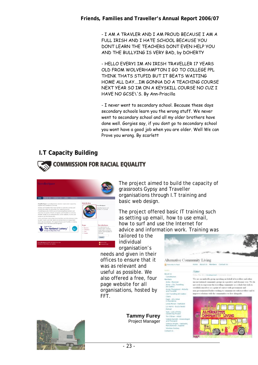- I AM A TRAVLER AND I AM PROUD BECAUSE I AM A FULL IRISH AND I HATE SCHOOL BECAUSE YOU DONT LEARN THE TEACHERS DONT EVEN HELP YOU AND THE BULLYING IS VERY BAD, by DOHERTY

- HELLO EVERY1 IM AN IRISH TRAVELLER 17 YEARS OLD FROM WOLVERHAMPTON I GO TO COLLEGE PPL THINK THATS STUPID BUT IT BEATS WAITING HOME ALL DAY....IM GONNA DO A TEACHING COURSE NEXT YEAR SO IM ON A KEYSKILL COURSE NO CUZ I HAVE NO GCSE\'S. By Ann-Priscilla

- I never went to secondary school. Because these days secondary schools learn you the wrong stuff. We never went to secondary school and all my older brothers have done well. Gorgies say, if you dont go to secondary school you wont have a good job when you are older. Well We can Prove you wrong. By scarlett

#### **I.T Capacity Building**





The project aimed to build the capacity of grassroots Gypsy and Traveller organisations through I.T training and basic web design.

The project offered basic IT training such as setting up email, how to use email, how to surf and use the Internet for advice and information work. Training was

**DABIT** 

About Us Constitution

**Harribory** ambers<br>Amba - Musician<br>Anna - CIA, Travelling<br>Art Gallery

Annie Thurgaland - Midwife<br>and Traveller

CtA frankling Art Gallery .<br>Claire Crame<br>Deek - ACL Artest<br>in Residence Linda Moran - Liarhal Liz Hanis - Buzzy Beats<br>Reload Sam - Lots of Pots<br>Gardening Project<br>Tim O'Brian - Artist

.<br>Valerie Barrett - Kinesi<br>and Therapist .<br>Victoria Wright - He<br>Manufacturer, Supp *<u>Isnkey</u>* Donkey Contact Us

tailored to the individual organisation's

needs and given in their offices to ensure that it was as relevant and useful as possible. We also offered a free, four page website for all organisations, hosted by FFT.

> **Tammy Furey**  Project Manager



Alternative Community Living A Cabrietha to food Home Wasit Us Members Contact Us

#### Aims

We are an underella group speaking on behalf of travellers and other unconventional community groups in a positive and dynamic way. We do not reek to represent the travelling community at a whole lest with to establish ourselves as a point of contact with government and non-governmental bodier withing to come<br>inserver relations with the communities to e communicate with travellers and to<br>ities we live alongside.



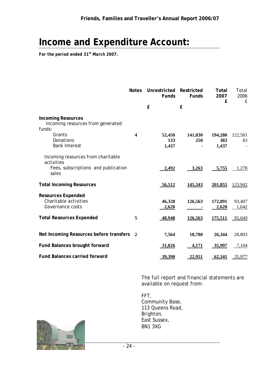# **Income and Expenditure Account:**

*For the period ended 31st March 2007.* 

|                                                                                                  | <b>Notes</b>     | Unrestricted<br><b>Funds</b><br>£ | Restricted<br><b>Funds</b><br>£ | Total<br>2007<br>£      | Total<br>2006<br>£ |
|--------------------------------------------------------------------------------------------------|------------------|-----------------------------------|---------------------------------|-------------------------|--------------------|
| <b>Incoming Resources</b><br>Incoming resources from generated<br>funds:                         |                  |                                   |                                 |                         |                    |
| Grants<br>Donations<br><b>Bank Interest</b>                                                      | $\boldsymbol{4}$ | 52,450<br>133<br>1,437            | 141,830<br>250                  | 194,280<br>383<br>1,437 | 122,581<br>83      |
| Incoming resources from charitable<br>activities<br>Fees, subscriptions and publication<br>sales |                  | 2,492                             | 3,263                           | 5,755                   | 1,278              |
| <b>Total Incoming Resources</b>                                                                  |                  | 56,512                            | 145,343                         | 201,855                 | 123,942            |
| <b>Resources Expended</b><br>Charitable activities<br>Governance costs                           |                  | 46,328<br><u>2,620</u>            | 126,563                         | 172,891<br>2,620        | 93,407<br>1,642    |
| <b>Total Resources Expended</b>                                                                  | 5                | 48,948                            | 126,563                         | 175,511                 | 95,049             |
| Net Incoming Resources before transfers                                                          | $\overline{2}$   | 7,564                             | 18,780                          | 26,344                  | 28,893             |
| <b>Fund Balances brought forward</b>                                                             |                  | 31,826                            | 4,171                           | 35,997                  | 7,104              |
| <b>Fund Balances carried forward</b>                                                             |                  | 39,390                            | <u>22,951</u>                   | 62,341                  | 35,977             |

The full report and financial statements are available on request from:

FFT, Community Base, 113 Queens Road, Brighton, East Sussex, BN1 3XG